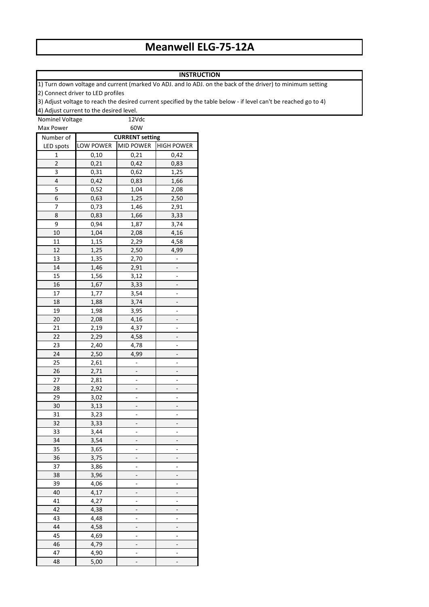## **Meanwell ELG-75-12A**

## **INSTRUCTION**

1) Turn down voltage and current (marked Vo ADJ. and Io ADJ. on the back of the driver) to minimum setting 2) Connect driver to LED profiles

3) Adjust voltage to reach the desired current specified by the table below - if level can't be reached go to 4)

4) Adjust current to the desired level.

| Nominel Voltage |                        | 12Vdc            |                   |  |  |  |
|-----------------|------------------------|------------------|-------------------|--|--|--|
| Max Power       |                        | 60W              |                   |  |  |  |
| Number of       | <b>CURRENT setting</b> |                  |                   |  |  |  |
| LED spots       | LOW POWER              | <b>MID POWER</b> | <b>HIGH POWER</b> |  |  |  |
| 1               | 0,10                   | 0,21             | 0,42              |  |  |  |
| $\overline{2}$  | 0,21                   | 0,42             | 0,83              |  |  |  |
| 3               | 0,31                   | 0,62             | 1,25              |  |  |  |
| 4               | 0,42                   | 0,83             | 1,66              |  |  |  |
| 5               | 0,52                   | 1,04             | 2,08              |  |  |  |
| 6               | 0,63                   | 1,25             | 2,50              |  |  |  |
| 7               | 0,73                   | 1,46             | 2,91              |  |  |  |
| 8               | 0,83                   | 1,66             | 3,33              |  |  |  |
| 9               | 0,94                   | 1,87             | 3,74              |  |  |  |
| 10              | 1,04                   | 2,08             | 4,16              |  |  |  |
| 11              | 1,15                   | 2,29             | 4,58              |  |  |  |
| 12              | 1,25                   | 2,50             | 4,99              |  |  |  |
| 13              | 1,35                   | 2,70             |                   |  |  |  |
| 14              | 1,46                   | 2,91             |                   |  |  |  |
| 15              | 1,56                   | 3,12             |                   |  |  |  |
| 16              | 1,67                   | 3,33             |                   |  |  |  |
| 17              | 1,77                   | 3,54             |                   |  |  |  |
| 18              | 1,88                   | 3,74             |                   |  |  |  |
| 19              | 1,98                   | 3,95             |                   |  |  |  |
| 20              | 2,08                   | 4,16             |                   |  |  |  |
| 21              | 2,19                   | 4,37             |                   |  |  |  |
| 22              | 2,29                   | 4,58             |                   |  |  |  |
| 23              | 2,40                   | 4,78             |                   |  |  |  |
| 24              | 2,50                   | 4,99             |                   |  |  |  |
| 25              | 2,61                   |                  |                   |  |  |  |
| 26              | 2,71                   |                  |                   |  |  |  |
| 27              | 2,81                   |                  |                   |  |  |  |
| 28              | 2,92                   |                  |                   |  |  |  |
| 29              | 3,02                   |                  |                   |  |  |  |
| 30              | 3,13                   |                  |                   |  |  |  |
| 31              | 3,23                   |                  |                   |  |  |  |
| 32              | 3,33                   |                  |                   |  |  |  |
| 33              | 3,44                   |                  |                   |  |  |  |
| 34              | 3,54                   |                  |                   |  |  |  |
| 35              | 3,65                   |                  |                   |  |  |  |
| 36              | 3,75                   |                  |                   |  |  |  |
| 37              | 3,86                   |                  |                   |  |  |  |
| 38              | 3,96                   |                  |                   |  |  |  |
| 39              | 4,06                   |                  |                   |  |  |  |
| 40              | 4,17                   |                  |                   |  |  |  |
| 41              | 4,27                   |                  |                   |  |  |  |
| 42              | 4,38                   |                  |                   |  |  |  |
| 43              | 4,48                   |                  |                   |  |  |  |
| 44              | 4,58                   |                  |                   |  |  |  |
| 45              | 4,69                   |                  |                   |  |  |  |
| 46              | 4,79                   |                  |                   |  |  |  |
| 47              | 4,90                   |                  |                   |  |  |  |
| 48              | 5,00                   |                  |                   |  |  |  |